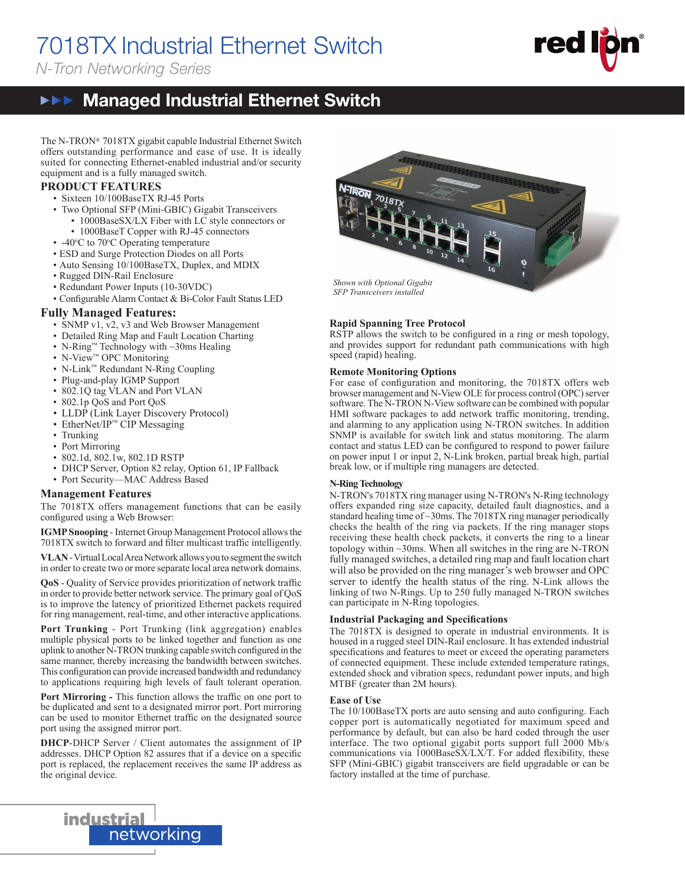# 7018TX Industrial Ethernet Switch

*N-Tron Networking Series*



#### **▶▶▶ Managed Industrial Ethernet Switch NEE**

The N-TRON® 7018TX gigabit capable Industrial Ethernet Switch offers outstanding performance and ease of use. It is ideally suited for connecting Ethernet-enabled industrial and/or security equipment and is a fully managed switch.

#### **PRODUCT FEATURES**

- Sixteen 10/100BaseTX RJ-45 Ports
- Two Optional SFP (Mini-GBIC) Gigabit Transceivers
	- 1000BaseSX/LX Fiber with LC style connectors or
	- 1000BaseT Copper with RJ-45 connectors
- $-40^{\circ}$ C to 70 $^{\circ}$ C Operating temperature
	- ESD and Surge Protection Diodes on all Ports
	- Auto Sensing 10/100BaseTX, Duplex, and MDIX
	- Rugged DIN-Rail Enclosure
	- Redundant Power Inputs (10-30VDC)
	- Configurable Alarm Contact & Bi-Color Fault Status LED

#### **Fully Managed Features:**

- SNMP v1, v2, v3 and Web Browser Management
- Detailed Ring Map and Fault Location Charting
- N-Ring™ Technology with ~30ms Healing
- N-View™ OPC Monitoring
- N-Link™ Redundant N-Ring Coupling
- Plug-and-play IGMP Support
- 802.1Q tag VLAN and Port VLAN
- 802.1p QoS and Port QoS
- LLDP (Link Layer Discovery Protocol)
- EtherNet/IP™ CIP Messaging
- Trunking
- Port Mirroring
- 802.1d, 802.1w, 802.1D RSTP
- DHCP Server, Option 82 relay, Option 61, IP Fallback
- Port Security—MAC Address Based

#### **Management Features**

The 7018TX offers management functions that can be easily configured using a Web Browser:

**IGMP Snooping** - Internet Group Management Protocol allows the 7018TX switch to forward and filter multicast traffic intelligently.

**VLAN** - Virtual Local Area Network allows you to segment the switch in order to create two or more separate local area network domains.

QoS - Quality of Service provides prioritization of network traffic in order to provide better network service. The primary goal of QoS is to improve the latency of prioritized Ethernet packets required for ring management, real-time, and other interactive applications.

**Port Trunking** - Port Trunking (link aggregation) enables multiple physical ports to be linked together and function as one uplink to another N-TRON trunking capable switch configured in the same manner, thereby increasing the bandwidth between switches. This configuration can provide increased bandwidth and redundancy to applications requiring high levels of fault tolerant operation.

Port Mirroring - This function allows the traffic on one port to be duplicated and sent to a designated mirror port. Port mirroring can be used to monitor Ethernet traffic on the designated source port using the assigned mirror port.

**DHCP**-DHCP Server / Client automates the assignment of IP addresses. DHCP Option 82 assures that if a device on a specific port is replaced, the replacement receives the same IP address as the original device.



#### **Rapid Spanning Tree Protocol**

RSTP allows the switch to be configured in a ring or mesh topology, and provides support for redundant path communications with high speed (rapid) healing.

#### **Remote Monitoring Options**

For ease of configuration and monitoring, the 7018TX offers web browser management and N-View OLE for process control (OPC) server software. The N-TRON N-View software can be combined with popular HMI software packages to add network traffic monitoring, trending, and alarming to any application using N-TRON switches. In addition SNMP is available for switch link and status monitoring. The alarm contact and status LED can be configured to respond to power failure on power input 1 or input 2, N-Link broken, partial break high, partial break low, or if multiple ring managers are detected.

#### **N-Ring Technology**

N-TRON's 7018TX ring manager using N-TRON's N-Ring technology offers expanded ring size capacity, detailed fault diagnostics, and a standard healing time of ~30ms. The 7018TX ring manager periodically checks the health of the ring via packets. If the ring manager stops receiving these health check packets, it converts the ring to a linear topology within ~30ms. When all switches in the ring are N-TRON fully managed switches, a detailed ring map and fault location chart will also be provided on the ring manager's web browser and OPC server to identfy the health status of the ring. N-Link allows the linking of two N-Rings. Up to 250 fully managed N-TRON switches can participate in N-Ring topologies.

#### **Industrial Packaging and Specifi cations**

The 7018TX is designed to operate in industrial environments. It is housed in a rugged steel DIN-Rail enclosure. It has extended industrial specifications and features to meet or exceed the operating parameters of connected equipment. These include extended temperature ratings, extended shock and vibration specs, redundant power inputs, and high MTBF (greater than 2M hours).

#### **Ease of Use**

The  $10/100$ BaseTX ports are auto sensing and auto configuring. Each copper port is automatically negotiated for maximum speed and performance by default, but can also be hard coded through the user interface. The two optional gigabit ports support full 2000 Mb/s communications via  $1000BaseSX/LX/T$ . For added flexibility, these SFP (Mini-GBIC) gigabit transceivers are field upgradable or can be factory installed at the time of purchase.

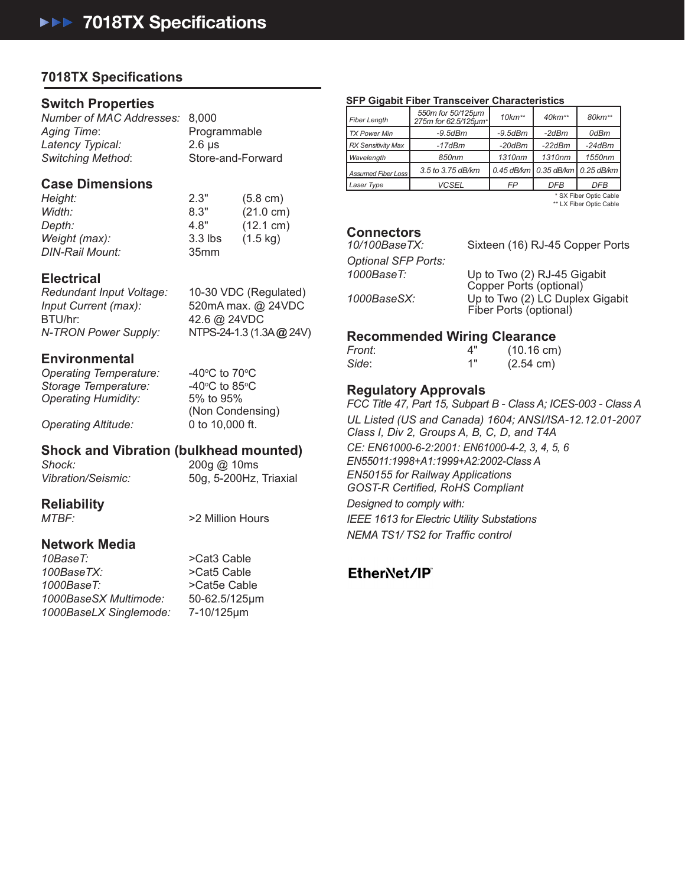**THE INDUSTRIAL NETWORK COMPANY**

# **7018TX Specifi cations**

## **Switch Properties**

*Number of MAC Addresses:* 8,000 *Aging Time*: Programmable *Latency Typical:* 2.6 μs *Switching Method*: Store-and-Forward

## **Case Dimensions**

*Height:* 2.3" (5.8 cm) *Width:* 8.3" (21.0 cm) *Depth:* 4.8" (12.1 cm) *Weight (max):* 3.3 lbs (1.5 kg) *DIN-Rail Mount:* 35mm

## **Electrical**

*Redundant Input Voltage:* 10-30 VDC (Regulated) *Input Current (max):* 520mA max. @ 24VDC BTU/hr: 42.6 @ 24VDC

*N-TRON Power Supply:* NTPS-24-1.3 (1.3A **@** 24V)

## **Environmental**

*Operating Temperature: Storage Temperature:* 40°C to 85<br>*Operating Humidity:* 5% to 95% **Operating Humidity:** 

C to 70 $\rm ^{o}$ C C to 85 $\rm ^{\circ}$ C (Non Condensing) *Operating Altitude:* 0 to 10,000 ft.

## **Shock and Vibration (bulkhead mounted)**

*Shock:* 200g @ 10ms *Vibration/Seismic:* 50g, 5-200Hz, Triaxial

**Reliability**

*MTBF:*  $>2$  Million Hours

## **Network Media**

10BaseT:  $>$ Cat3 Cable *100BaseTX:* >Cat5 Cable *1000BaseT:* >Cat5e Cable *1000BaseSX Multimode:* 50-62.5/125μm *1000BaseLX Singlemode:* 7-10/125μm

**SFP Gigabit Fiber Transceiver Characteristics**

| Fiber Length              | 550m for 50/125µm<br>275m for 62.5/125um* | $10km**$      | $40$ km**                            | 80km**     |
|---------------------------|-------------------------------------------|---------------|--------------------------------------|------------|
| <b>TX Power Min</b>       | $-9.5$ d $Bm$                             | $-9.5$ d $Bm$ | -2dBm                                | 0dBm       |
| <b>RX Sensitivity Max</b> | $-17$ d $Bm$                              | $-20$ d $Bm$  | $-22dBm$                             | $-24dBm$   |
| Wavelength                | 850nm                                     | 1310nm        | 1310nm                               | 1550nm     |
| Assumed Fiber Loss        | 3.5 to 3.75 dB/km                         |               | 0.45 dB/km   0.35 dB/km   0.25 dB/km |            |
| Laser Type                | <b>VCSEL</b>                              | FP            | <b>DFB</b>                           | <b>DFB</b> |

 \* SX Fiber Optic Cable \*\* LX Fiber Optic Cable

**Connectors**<br>10/100BaseTX:

Sixteen (16) RJ-45 Copper Ports *Optional SFP Ports: 1000BaseT:* Up to Two (2) RJ-45 Gigabit Copper Ports (optional) *1000BaseSX:* Up to Two (2) LC Duplex Gigabit Fiber Ports (optional)

## **Recommended Wiring Clearance**

| Front: | ⊿" | $(10.16 \text{ cm})$ |
|--------|----|----------------------|
| Side:  | 1" | $(2.54 \text{ cm})$  |

## **Regulatory Approvals**

*FCC Title 47, Part 15, Subpart B - Class A; ICES-003 - Class A UL Listed (US and Canada) 1604; ANSI/ISA-12.12.01-2007 Class I, Div 2, Groups A, B, C, D, and T4A CE: EN61000-6-2:2001: EN61000-4-2, 3, 4, 5, 6 EN55011:1998+A1:1999+A2:2002-Class A EN50155 for Railway Applications GOST-R Certi ed, RoHS Compliant Designed to comply with: IEEE 1613 for Electric Utility Substations NEMA TS1/TS2 for Traffic control* 

# EtherNet/IP®